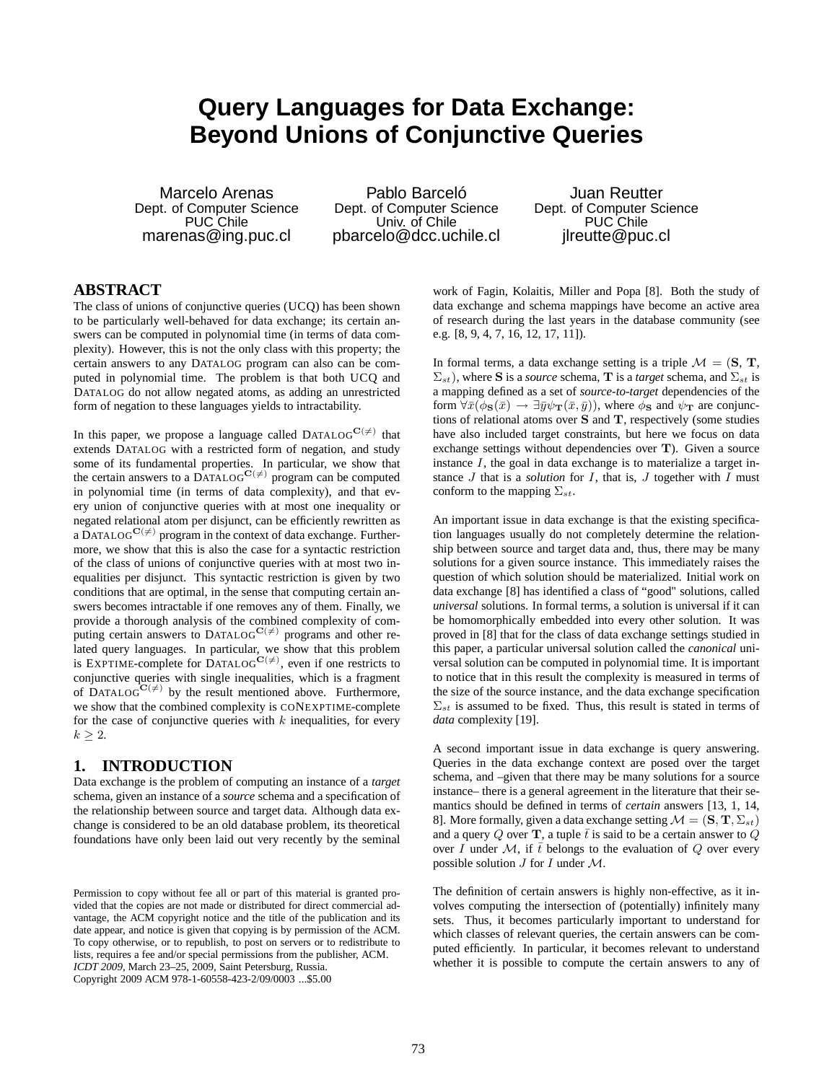# **Query Languages for Data Exchange: Beyond Unions of Conjunctive Queries**

Marcelo Arenas Dept. of Computer Science PUC Chile marenas@ing.puc.cl

Pablo Barceló Dept. of Computer Science Univ. of Chile pbarcelo@dcc.uchile.cl

Juan Reutter Dept. of Computer Science PUC Chile jlreutte@puc.cl

### **ABSTRACT**

The class of unions of conjunctive queries (UCQ) has been shown to be particularly well-behaved for data exchange; its certain answers can be computed in polynomial time (in terms of data complexity). However, this is not the only class with this property; the certain answers to any DATALOG program can also can be computed in polynomial time. The problem is that both UCQ and DATALOG do not allow negated atoms, as adding an unrestricted form of negation to these languages yields to intractability.

In this paper, we propose a language called DATALOG<sup>C( $\neq$ )</sup> that extends DATALOG with a restricted form of negation, and study some of its fundamental properties. In particular, we show that the certain answers to a DATALOG<sup>C( $\neq$ )</sup> program can be computed in polynomial time (in terms of data complexity), and that every union of conjunctive queries with at most one inequality or negated relational atom per disjunct, can be efficiently rewritten as a DATALOG<sup>C( $\neq$ )</sup> program in the context of data exchange. Furthermore, we show that this is also the case for a syntactic restriction of the class of unions of conjunctive queries with at most two inequalities per disjunct. This syntactic restriction is given by two conditions that are optimal, in the sense that computing certain answers becomes intractable if one removes any of them. Finally, we provide a thorough analysis of the combined complexity of computing certain answers to DATALOG<sup>C( $\neq$ )</sup> programs and other related query languages. In particular, we show that this problem<br>is EXPTIME-complete for DATALOG<sup>C( $\neq$ )</sup>, even if one restricts to conjunctive queries with single inequalities, which is a fragment of DATALOGC( $\neq$ ) by the result mentioned above. Furthermore, we show that the combined complexity is CONEXPTIME-complete for the case of conjunctive queries with  $k$  inequalities, for every  $k \geq 2$ .

### **1. INTRODUCTION**

Data exchange is the problem of computing an instance of a *target* schema, given an instance of a *source* schema and a specification of the relationship between source and target data. Although data exchange is considered to be an old database problem, its theoretical foundations have only been laid out very recently by the seminal

work of Fagin, Kolaitis, Miller and Popa [8]. Both the study of data exchange and schema mappings have become an active area of research during the last years in the database community (see e.g. [8, 9, 4, 7, 16, 12, 17, 11]).

In formal terms, a data exchange setting is a triple  $\mathcal{M} = (\mathbf{S}, \mathbf{T})$ ,  $\Sigma_{st}$ ), where S is a *source* schema, T is a *target* schema, and  $\Sigma_{st}$  is a mapping defined as a set of *source-to-target* dependencies of the form  $\forall \bar{x}(\phi_{\mathbf{S}}(\bar{x}) \rightarrow \exists \bar{y} \psi_{\mathbf{T}}(\bar{x}, \bar{y}))$ , where  $\phi_{\mathbf{S}}$  and  $\psi_{\mathbf{T}}$  are conjunctions of relational atoms over S and T, respectively (some studies have also included target constraints, but here we focus on data exchange settings without dependencies over T). Given a source instance  $I$ , the goal in data exchange is to materialize a target instance J that is a *solution* for I, that is, J together with I must conform to the mapping  $\Sigma_{st}$ .

An important issue in data exchange is that the existing specification languages usually do not completely determine the relationship between source and target data and, thus, there may be many solutions for a given source instance. This immediately raises the question of which solution should be materialized. Initial work on data exchange [8] has identified a class of "good" solutions, called *universal* solutions. In formal terms, a solution is universal if it can be homomorphically embedded into every other solution. It was proved in [8] that for the class of data exchange settings studied in this paper, a particular universal solution called the *canonical* universal solution can be computed in polynomial time. It is important to notice that in this result the complexity is measured in terms of the size of the source instance, and the data exchange specification  $\Sigma_{st}$  is assumed to be fixed. Thus, this result is stated in terms of *data* complexity [19].

A second important issue in data exchange is query answering. Queries in the data exchange context are posed over the target schema, and –given that there may be many solutions for a source instance– there is a general agreement in the literature that their semantics should be defined in terms of *certain* answers [13, 1, 14, 8]. More formally, given a data exchange setting  $\mathcal{M} = (\mathbf{S}, \mathbf{T}, \Sigma_{st})$ and a query Q over **T**, a tuple  $\bar{t}$  is said to be a certain answer to  $\dot{Q}$ over I under M, if  $\bar{t}$  belongs to the evaluation of Q over every possible solution  $J$  for  $I$  under  $M$ .

The definition of certain answers is highly non-effective, as it involves computing the intersection of (potentially) infinitely many sets. Thus, it becomes particularly important to understand for which classes of relevant queries, the certain answers can be computed efficiently. In particular, it becomes relevant to understand whether it is possible to compute the certain answers to any of

Permission to copy without fee all or part of this material is granted provided that the copies are not made or distributed for direct commercial advantage, the ACM copyright notice and the title of the publication and its date appear, and notice is given that copying is by permission of the ACM. To copy otherwise, or to republish, to post on servers or to redistribute to lists, requires a fee and/or special permissions from the publisher, ACM. *ICDT 2009*, March 23–25, 2009, Saint Petersburg, Russia. Copyright 2009 ACM 978-1-60558-423-2/09/0003 ...\$5.00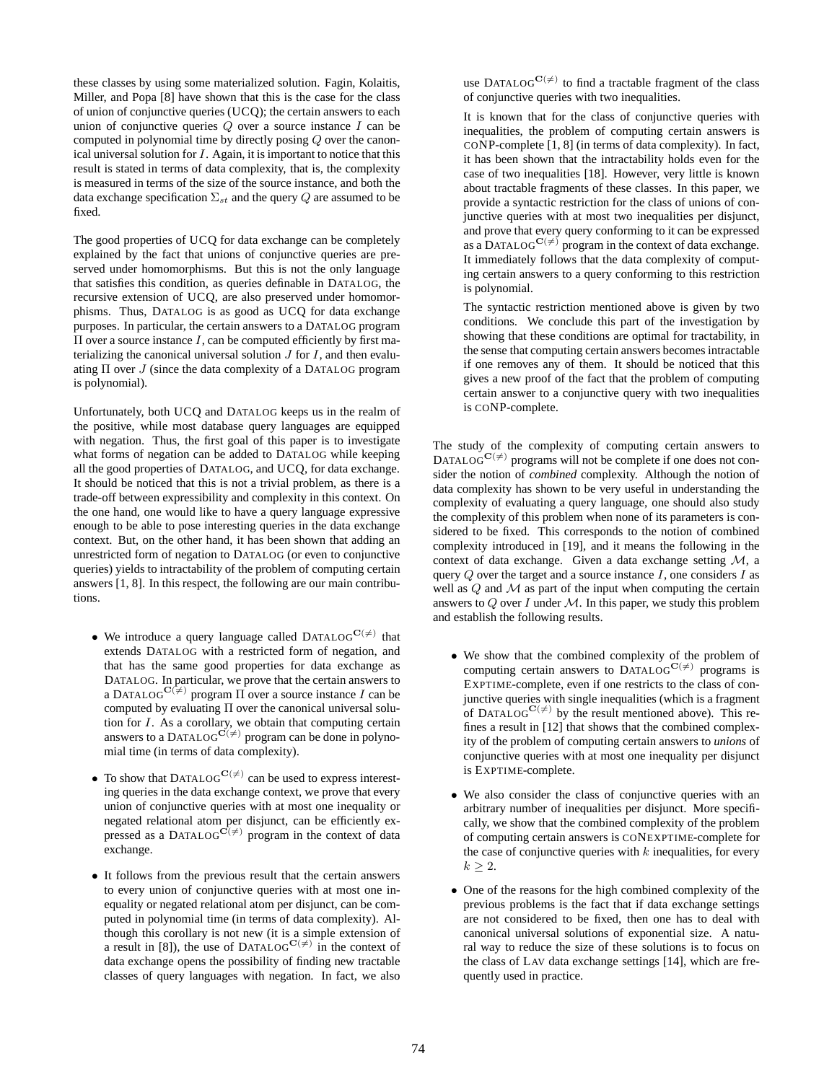these classes by using some materialized solution. Fagin, Kolaitis, Miller, and Popa [8] have shown that this is the case for the class of union of conjunctive queries (UCQ); the certain answers to each union of conjunctive queries  $Q$  over a source instance  $I$  can be computed in polynomial time by directly posing Q over the canonical universal solution for I. Again, it is important to notice that this result is stated in terms of data complexity, that is, the complexity is measured in terms of the size of the source instance, and both the data exchange specification  $\Sigma_{st}$  and the query Q are assumed to be fixed.

The good properties of UCQ for data exchange can be completely explained by the fact that unions of conjunctive queries are preserved under homomorphisms. But this is not the only language that satisfies this condition, as queries definable in DATALOG, the recursive extension of UCQ, are also preserved under homomorphisms. Thus, DATALOG is as good as UCQ for data exchange purposes. In particular, the certain answers to a DATALOG program  $\Pi$  over a source instance  $I$ , can be computed efficiently by first materializing the canonical universal solution  $J$  for  $I$ , and then evaluating  $\Pi$  over  $J$  (since the data complexity of a DATALOG program is polynomial).

Unfortunately, both UCQ and DATALOG keeps us in the realm of the positive, while most database query languages are equipped with negation. Thus, the first goal of this paper is to investigate what forms of negation can be added to DATALOG while keeping all the good properties of DATALOG, and UCQ, for data exchange. It should be noticed that this is not a trivial problem, as there is a trade-off between expressibility and complexity in this context. On the one hand, one would like to have a query language expressive enough to be able to pose interesting queries in the data exchange context. But, on the other hand, it has been shown that adding an unrestricted form of negation to DATALOG (or even to conjunctive queries) yields to intractability of the problem of computing certain answers [1, 8]. In this respect, the following are our main contributions.

- We introduce a query language called  $DATALOG^{\mathbf{C}(\neq)}$  that extends DATALOG with a restricted form of negation, and that has the same good properties for data exchange as DATALOG. In particular, we prove that the certain answers to a DATALOG<sup>C( $\neq$ )</sup> program  $\Pi$  over a source instance I can be computed by evaluating Π over the canonical universal solution for *I*. As a corollary, we obtain that computing certain answers to a DATALOG<sup>C( $\neq$ ) program can be done in polyno-</sup> mial time (in terms of data complexity).
- To show that DATALOG<sup>C( $\neq$ )</sup> can be used to express interesting queries in the data exchange context, we prove that every union of conjunctive queries with at most one inequality or negated relational atom per disjunct, can be efficiently expressed as a DATALOG<sup>C( $\neq$ )</sup> program in the context of data exchange.
- It follows from the previous result that the certain answers to every union of conjunctive queries with at most one inequality or negated relational atom per disjunct, can be computed in polynomial time (in terms of data complexity). Although this corollary is not new (it is a simple extension of a result in [8]), the use of  $DATALOG^{C(\neq)}$  in the context of data exchange opens the possibility of finding new tractable classes of query languages with negation. In fact, we also

use DATALOG<sup>C( $\neq$ )</sup> to find a tractable fragment of the class of conjunctive queries with two inequalities.

It is known that for the class of conjunctive queries with inequalities, the problem of computing certain answers is CONP-complete [1, 8] (in terms of data complexity). In fact, it has been shown that the intractability holds even for the case of two inequalities [18]. However, very little is known about tractable fragments of these classes. In this paper, we provide a syntactic restriction for the class of unions of conjunctive queries with at most two inequalities per disjunct, and prove that every query conforming to it can be expressed as a DATALOG<sup>C( $\neq$ )</sup> program in the context of data exchange. It immediately follows that the data complexity of computing certain answers to a query conforming to this restriction is polynomial.

The syntactic restriction mentioned above is given by two conditions. We conclude this part of the investigation by showing that these conditions are optimal for tractability, in the sense that computing certain answers becomes intractable if one removes any of them. It should be noticed that this gives a new proof of the fact that the problem of computing certain answer to a conjunctive query with two inequalities is CONP-complete.

The study of the complexity of computing certain answers to DATALOG<sup>C( $\neq$ )</sup> programs will not be complete if one does not consider the notion of *combined* complexity. Although the notion of data complexity has shown to be very useful in understanding the complexity of evaluating a query language, one should also study the complexity of this problem when none of its parameters is considered to be fixed. This corresponds to the notion of combined complexity introduced in [19], and it means the following in the context of data exchange. Given a data exchange setting M, a query  $Q$  over the target and a source instance  $I$ , one considers  $I$  as well as  $Q$  and  $M$  as part of the input when computing the certain answers to  $Q$  over  $I$  under  $M$ . In this paper, we study this problem and establish the following results.

- We show that the combined complexity of the problem of computing certain answers to  $\text{DATALOG}^{\mathbf{C}(\neq)}$  programs is EXPTIME-complete, even if one restricts to the class of conjunctive queries with single inequalities (which is a fragment of DATALOG<sup>C( $\neq$ )</sup> by the result mentioned above). This refines a result in [12] that shows that the combined complexity of the problem of computing certain answers to *unions* of conjunctive queries with at most one inequality per disjunct is EXPTIME-complete.
- We also consider the class of conjunctive queries with an arbitrary number of inequalities per disjunct. More specifically, we show that the combined complexity of the problem of computing certain answers is CONEXPTIME-complete for the case of conjunctive queries with  $k$  inequalities, for every  $k \geq 2$ .
- One of the reasons for the high combined complexity of the previous problems is the fact that if data exchange settings are not considered to be fixed, then one has to deal with canonical universal solutions of exponential size. A natural way to reduce the size of these solutions is to focus on the class of LAV data exchange settings [14], which are frequently used in practice.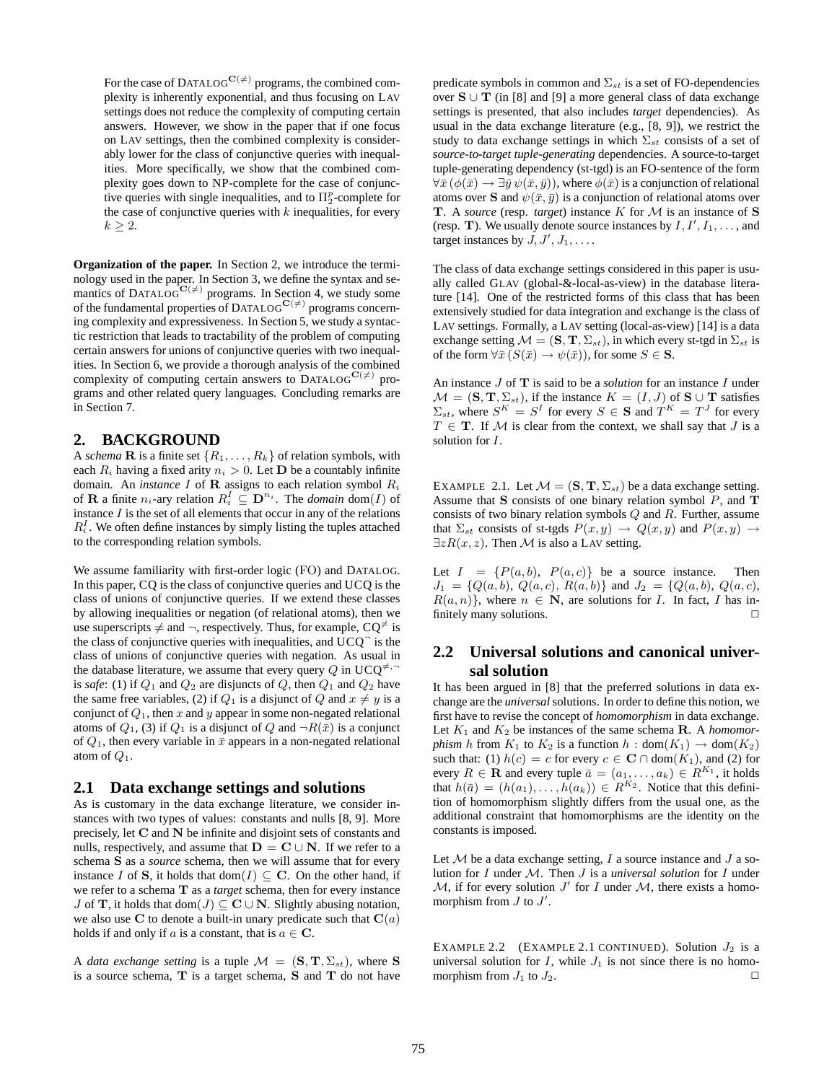For the case of DATALOG<sup>C( $\neq$ )</sup> programs, the combined complexity is inherently exponential, and thus focusing on LAV settings does not reduce the complexity of computing certain answers. However, we show in the paper that if one focus on LAV settings, then the combined complexity is considerably lower for the class of conjunctive queries with inequalities. More specifically, we show that the combined complexity goes down to NP-complete for the case of conjunctive queries with single inequalities, and to  $\Pi_2^p$ -complete for the case of conjunctive queries with  $k$  inequalities, for every  $k \geq 2$ .

**Organization of the paper.** In Section 2, we introduce the terminology used in the paper. In Section 3, we define the syntax and semantics of DATALOG<sup>C( $\neq$ )</sup> programs. In Section 4, we study some of the fundamental properties of DATALOG<sup>C( $\neq$ )</sup> programs concerning complexity and expressiveness. In Section 5, we study a syntactic restriction that leads to tractability of the problem of computing certain answers for unions of conjunctive queries with two inequalities. In Section 6, we provide a thorough analysis of the combined complexity of computing certain answers to DATALOG<sup>C( $\neq$ )</sup> programs and other related query languages. Concluding remarks are in Section 7.

#### **2. BACKGROUND**

A *schema* **R** is a finite set  $\{R_1, \ldots, R_k\}$  of relation symbols, with each  $R_i$  having a fixed arity  $n_i > 0$ . Let **D** be a countably infinite domain. An *instance*  $I$  of  $R$  assigns to each relation symbol  $R_i$ of **R** a finite  $n_i$ -ary relation  $R_i^I \subseteq \mathbf{D}^{n_i}$ . The *domain* dom(*I*) of instance  $I$  is the set of all elements that occur in any of the relations  $R_i^I$ . We often define instances by simply listing the tuples attached to the corresponding relation symbols.

We assume familiarity with first-order logic (FO) and DATALOG. In this paper, CQ is the class of conjunctive queries and UCQ is the class of unions of conjunctive queries. If we extend these classes by allowing inequalities or negation (of relational atoms), then we use superscripts  $\neq$  and  $\neg$ , respectively. Thus, for example,  $CO^{\neq}$  is the class of conjunctive queries with inequalities, and  $\overline{UCQ}^-$  is the class of unions of conjunctive queries with negation. As usual in the database literature, we assume that every query Q in UCQ<sup> $\neq$ , $\neg$ </sup> is *safe*: (1) if  $Q_1$  and  $Q_2$  are disjuncts of  $Q$ , then  $Q_1$  and  $Q_2$  have the same free variables, (2) if  $Q_1$  is a disjunct of  $Q$  and  $x \neq y$  is a conjunct of  $Q_1$ , then x and y appear in some non-negated relational atoms of  $Q_1$ , (3) if  $Q_1$  is a disjunct of  $Q$  and  $\neg R(\bar{x})$  is a conjunct of  $Q_1$ , then every variable in  $\bar{x}$  appears in a non-negated relational atom of  $Q_1$ .

#### **2.1 Data exchange settings and solutions**

As is customary in the data exchange literature, we consider instances with two types of values: constants and nulls [8, 9]. More precisely, let C and N be infinite and disjoint sets of constants and nulls, respectively, and assume that  $D = C \cup N$ . If we refer to a schema S as a *source* schema, then we will assume that for every instance I of S, it holds that dom(I)  $\subseteq$  C. On the other hand, if we refer to a schema T as a *target* schema, then for every instance J of **T**, it holds that dom $(J) \subseteq \mathbb{C} \cup \mathbb{N}$ . Slightly abusing notation, we also use C to denote a built-in unary predicate such that  $C(a)$ holds if and only if a is a constant, that is  $a \in \mathbb{C}$ .

A *data exchange setting* is a tuple  $\mathcal{M} = (\mathbf{S}, \mathbf{T}, \Sigma_{st})$ , where **S** is a source schema, T is a target schema, S and T do not have predicate symbols in common and  $\Sigma_{st}$  is a set of FO-dependencies over  $S \cup T$  (in [8] and [9] a more general class of data exchange settings is presented, that also includes *target* dependencies). As usual in the data exchange literature (e.g., [8, 9]), we restrict the study to data exchange settings in which  $\Sigma_{st}$  consists of a set of *source-to-target tuple-generating* dependencies. A source-to-target tuple-generating dependency (st-tgd) is an FO-sentence of the form  $\forall \bar{x}$  ( $\phi(\bar{x}) \rightarrow \exists \bar{y}$   $\psi(\bar{x}, \bar{y})$ ), where  $\phi(\bar{x})$  is a conjunction of relational atoms over S and  $\psi(\bar{x}, \bar{y})$  is a conjunction of relational atoms over **T.** A *source* (resp. *target*) instance K for M is an instance of S (resp. T). We usually denote source instances by  $I, I', I_1, \ldots$ , and target instances by  $J, J', J_1, \ldots$ .

The class of data exchange settings considered in this paper is usually called GLAV (global-&-local-as-view) in the database literature [14]. One of the restricted forms of this class that has been extensively studied for data integration and exchange is the class of LAV settings. Formally, a LAV setting (local-as-view) [14] is a data exchange setting  $\mathcal{M} = (\mathbf{S}, \mathbf{T}, \Sigma_{st})$ , in which every st-tgd in  $\Sigma_{st}$  is of the form  $\forall \bar{x}$   $(S(\bar{x}) \rightarrow \psi(\bar{x}))$ , for some  $S \in \mathbf{S}$ .

An instance J of T is said to be a *solution* for an instance I under  $\mathcal{M} = (\mathbf{S}, \mathbf{T}, \Sigma_{st})$ , if the instance  $K = (I, J)$  of  $\mathbf{S} \cup \mathbf{T}$  satisfies  $\Sigma_{st}$ , where  $S^K = S^I$  for every  $S \in \mathbf{S}$  and  $T^K = T^J$  for every  $T \in$  **T**. If M is clear from the context, we shall say that J is a solution for I.

EXAMPLE 2.1. Let  $\mathcal{M} = (\mathbf{S}, \mathbf{T}, \Sigma_{st})$  be a data exchange setting. Assume that S consists of one binary relation symbol  $P$ , and  $T$ consists of two binary relation symbols  $Q$  and  $R$ . Further, assume that  $\Sigma_{st}$  consists of st-tgds  $P(x,y) \rightarrow Q(x,y)$  and  $P(x,y) \rightarrow$  $\exists z R(x, z)$ . Then M is also a LAV setting.

Let  $I = {P(a, b), P(a, c)}$  be a source instance. Then  $J_1 = \{Q(a, b), Q(a, c), R(a, b)\}\$ and  $J_2 = \{Q(a, b), Q(a, c),$  $R(a,n)$ , where  $n \in \mathbb{N}$ , are solutions for *I*. In fact, *I* has infinitely many solutions.  $\Box$ 

### **2.2 Universal solutions and canonical universal solution**

It has been argued in [8] that the preferred solutions in data exchange are the *universal* solutions. In order to define this notion, we first have to revise the concept of *homomorphism* in data exchange. Let  $K_1$  and  $K_2$  be instances of the same schema **R**. A *homomorphism* h from  $K_1$  to  $K_2$  is a function  $h : dom(K_1) \to dom(K_2)$ such that: (1)  $h(c) = c$  for every  $c \in \mathbf{C} \cap \text{dom}(K_1)$ , and (2) for every  $R \in \mathbf{R}$  and every tuple  $\bar{a} = (a_1, \dots, a_k) \in R^{K_1}$ , it holds that  $h(\bar{a}) = (h(a_1), \ldots, h(a_k)) \in R^{K_2}$ . Notice that this definition of homomorphism slightly differs from the usual one, as the additional constraint that homomorphisms are the identity on the constants is imposed.

Let  $M$  be a data exchange setting,  $I$  a source instance and  $J$  a solution for I under M. Then J is a *universal solution* for I under  $M$ , if for every solution  $J'$  for I under  $M$ , there exists a homomorphism from  $J$  to  $J'$ .

EXAMPLE 2.2 (EXAMPLE 2.1 CONTINUED). Solution  $J_2$  is a universal solution for  $I$ , while  $J_1$  is not since there is no homomorphism from  $J_1$  to  $J_2$ .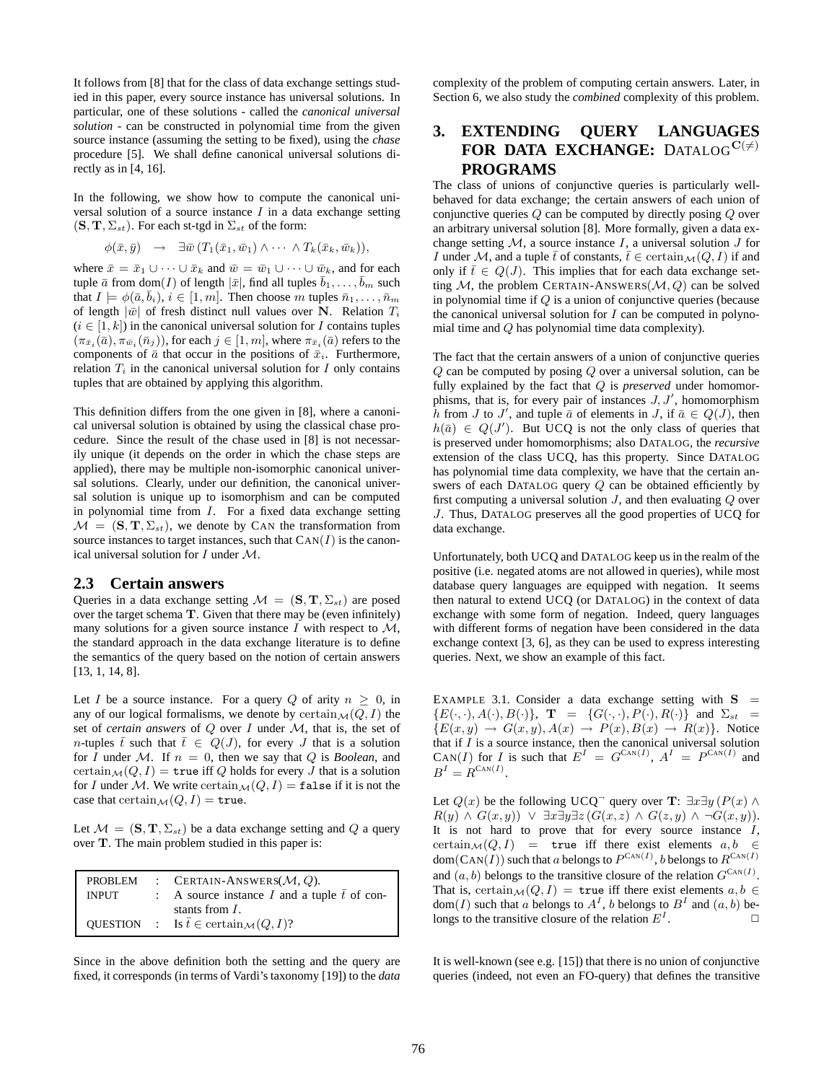It follows from [8] that for the class of data exchange settings studied in this paper, every source instance has universal solutions. In particular, one of these solutions - called the *canonical universal solution* - can be constructed in polynomial time from the given source instance (assuming the setting to be fixed), using the *chase* procedure [5]. We shall define canonical universal solutions directly as in [4, 16].

In the following, we show how to compute the canonical universal solution of a source instance  $I$  in a data exchange setting  $(S, T, \Sigma_{st})$ . For each st-tgd in  $\Sigma_{st}$  of the form:

$$
\phi(\bar{x},\bar{y}) \rightarrow \exists \bar{w} (T_1(\bar{x}_1,\bar{w}_1) \wedge \cdots \wedge T_k(\bar{x}_k,\bar{w}_k)),
$$

where  $\bar{x} = \bar{x}_1 \cup \cdots \cup \bar{x}_k$  and  $\bar{w} = \bar{w}_1 \cup \cdots \cup \bar{w}_k$ , and for each tuple  $\bar{a}$  from dom $(I)$  of length  $|\bar{x}|$ , find all tuples  $\bar{b}_1, \ldots, \bar{b}_m$  such that  $I \models \phi(\bar{a}, \bar{b}_i), i \in [1, m]$ . Then choose m tuples  $\bar{n}_1, \ldots, \bar{n}_m$ of length  $|\bar{w}|$  of fresh distinct null values over N. Relation  $T_i$  $(i \in [1, k])$  in the canonical universal solution for I contains tuples  $(\pi_{\bar{x}_i}(\bar{a}), \pi_{\bar{w}_i}(\bar{n}_j))$ , for each  $j \in [1, m]$ , where  $\pi_{\bar{x}_i}(\bar{a})$  refers to the components of  $\bar{a}$  that occur in the positions of  $\bar{x}_i$ . Furthermore, relation  $T_i$  in the canonical universal solution for  $I$  only contains tuples that are obtained by applying this algorithm.

This definition differs from the one given in [8], where a canonical universal solution is obtained by using the classical chase procedure. Since the result of the chase used in [8] is not necessarily unique (it depends on the order in which the chase steps are applied), there may be multiple non-isomorphic canonical universal solutions. Clearly, under our definition, the canonical universal solution is unique up to isomorphism and can be computed in polynomial time from  $I$ . For a fixed data exchange setting  $M = (S, T, \Sigma_{st})$ , we denote by CAN the transformation from source instances to target instances, such that  $\text{Can}(I)$  is the canonical universal solution for  $I$  under  $M$ .

#### **2.3 Certain answers**

Queries in a data exchange setting  $\mathcal{M} = (\mathbf{S}, \mathbf{T}, \Sigma_{st})$  are posed over the target schema T. Given that there may be (even infinitely) many solutions for a given source instance I with respect to  $M$ , the standard approach in the data exchange literature is to define the semantics of the query based on the notion of certain answers [13, 1, 14, 8].

Let I be a source instance. For a query Q of arity  $n \geq 0$ , in any of our logical formalisms, we denote by  $\operatorname{certain}_{\mathcal{M}}(Q, I)$  the set of *certain answers* of Q over I under M, that is, the set of n-tuples  $\bar{t}$  such that  $\bar{t} \in Q(J)$ , for every J that is a solution for I under M. If  $n = 0$ , then we say that Q is *Boolean*, and certain  $\mathcal{M}(Q, I) =$  true iff Q holds for every J that is a solution for I under M. We write certain  $\mathcal{M}(Q, I) = \texttt{false}$  if it is not the case that certain  $\mathcal{M}(Q, I) = \text{true}.$ 

Let  $\mathcal{M} = (\mathbf{S}, \mathbf{T}, \Sigma_{st})$  be a data exchange setting and Q a query over T. The main problem studied in this paper is:

| PROBLEM      | : CERTAIN-ANSWERS( $M, Q$ ).                                     |
|--------------|------------------------------------------------------------------|
| <b>INPUT</b> | : A source instance I and a tuple $\bar{t}$ of con-              |
|              | stants from $I$ .                                                |
|              | QUESTION : Is $\bar{t} \in \text{certain}_{\mathcal{M}}(Q, I)$ ? |
|              |                                                                  |

Since in the above definition both the setting and the query are fixed, it corresponds (in terms of Vardi's taxonomy [19]) to the *data* complexity of the problem of computing certain answers. Later, in Section 6, we also study the *combined* complexity of this problem.

### **3. EXTENDING QUERY LANGUAGES FOR DATA EXCHANGE:** DATALOG<sup>C( $\neq$ )</sup> **PROGRAMS**

The class of unions of conjunctive queries is particularly wellbehaved for data exchange; the certain answers of each union of conjunctive queries Q can be computed by directly posing Q over an arbitrary universal solution [8]. More formally, given a data exchange setting  $M$ , a source instance  $I$ , a universal solution  $J$  for I under M, and a tuple  $\bar{t}$  of constants,  $\bar{t} \in \text{certain}_{\mathcal{M}}(Q, I)$  if and only if  $\overline{t} \in Q(J)$ . This implies that for each data exchange setting  $M$ , the problem CERTAIN-ANSWERS( $M$ , Q) can be solved in polynomial time if Q is a union of conjunctive queries (because the canonical universal solution for  $I$  can be computed in polynomial time and Q has polynomial time data complexity).

The fact that the certain answers of a union of conjunctive queries Q can be computed by posing Q over a universal solution, can be fully explained by the fact that Q is *preserved* under homomorphisms, that is, for every pair of instances  $J, J'$ , homomorphism h from J to J', and tuple  $\bar{a}$  of elements in J, if  $\bar{a} \in Q(J)$ , then  $h(\bar{a}) \in Q(J')$ . But UCQ is not the only class of queries that is preserved under homomorphisms; also DATALOG, the *recursive* extension of the class UCQ, has this property. Since DATALOG has polynomial time data complexity, we have that the certain answers of each DATALOG query Q can be obtained efficiently by first computing a universal solution  $J$ , and then evaluating  $Q$  over J. Thus, DATALOG preserves all the good properties of UCQ for data exchange.

Unfortunately, both UCQ and DATALOG keep us in the realm of the positive (i.e. negated atoms are not allowed in queries), while most database query languages are equipped with negation. It seems then natural to extend UCQ (or DATALOG) in the context of data exchange with some form of negation. Indeed, query languages with different forms of negation have been considered in the data exchange context [3, 6], as they can be used to express interesting queries. Next, we show an example of this fact.

EXAMPLE 3.1. Consider a data exchange setting with  $S =$  ${E(\cdot,\cdot), A(\cdot), B(\cdot)}$ ,  $\mathbf{T} = {G(\cdot,\cdot), P(\cdot), R(\cdot)}$  and  $\Sigma_{st} =$  ${E(x,y) \rightarrow G(x,y), A(x) \rightarrow P(x), B(x) \rightarrow R(x)}.$  Notice that if  $I$  is a source instance, then the canonical universal solution CAN(I) for I is such that  $E^I = G^{CAN(I)}$ ,  $A^I = P^{CAN(I)}$  and  $B^I = R^{\text{Can}(I)}.$ 

Let  $Q(x)$  be the following UCQ<sup>-</sup> query over **T**:  $\exists x \exists y (P(x) \land \exists x \exists y (P(x))$  $R(y) \wedge G(x,y) \vee \exists x \exists y \exists z (G(x,z) \wedge G(z,y) \wedge \neg G(x,y)).$ It is not hard to prove that for every source instance  $I$ , certain $\mathcal{M}(Q, I)$  = true iff there exist elements  $a, b \in$ dom $(CAN(I))$  such that a belongs to  $P^{CAN(I)}$ , b belongs to  $R^{CAN(I)}$ and  $(a, b)$  belongs to the transitive closure of the relation  $G^{\text{Can}(I)}$ . That is, certain  $\mathcal{M}(Q, I) =$  true iff there exist elements  $a, b \in$ dom(*I*) such that a belongs to  $A<sup>I</sup>$ , b belongs to  $B<sup>I</sup>$  and  $(a, b)$  belongs to the transitive closure of the relation  $E<sup>I</sup>$ .  $\Box$ 

It is well-known (see e.g. [15]) that there is no union of conjunctive queries (indeed, not even an FO-query) that defines the transitive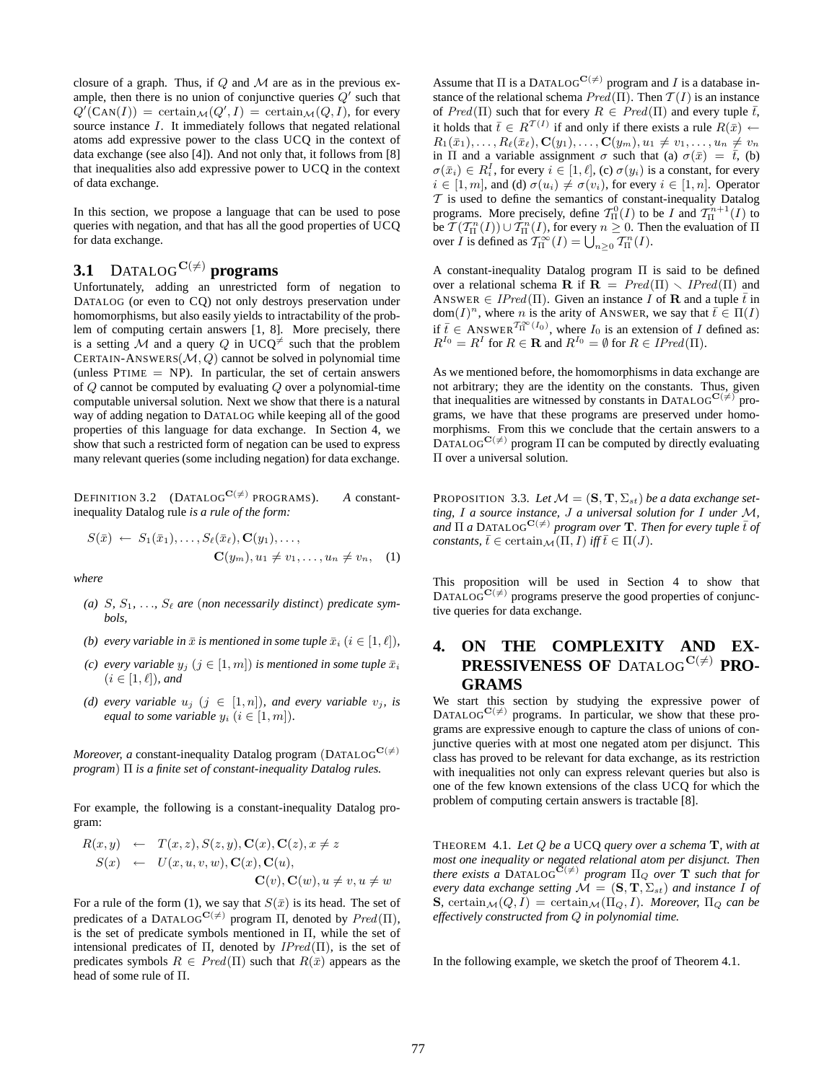closure of a graph. Thus, if  $Q$  and  $M$  are as in the previous example, then there is no union of conjunctive queries  $Q'$  such that  $Q'(\text{CAN}(I)) = \text{certain}_{\mathcal{M}}(Q', I) = \text{certain}_{\mathcal{M}}(Q, I)$ , for every source instance I. It immediately follows that negated relational atoms add expressive power to the class UCQ in the context of data exchange (see also [4]). And not only that, it follows from [8] that inequalities also add expressive power to UCQ in the context of data exchange.

In this section, we propose a language that can be used to pose queries with negation, and that has all the good properties of UCQ for data exchange.

## **3.1** DATALOG $C(\neq)$  programs

Unfortunately, adding an unrestricted form of negation to DATALOG (or even to CQ) not only destroys preservation under homomorphisms, but also easily yields to intractability of the problem of computing certain answers [1, 8]. More precisely, there is a setting M and a query Q in UCQ<sup> $\neq$ </sup> such that the problem CERTAIN-ANSWERS $(M, Q)$  cannot be solved in polynomial time (unless  $PTIME = NP$ ). In particular, the set of certain answers of  $Q$  cannot be computed by evaluating  $Q$  over a polynomial-time computable universal solution. Next we show that there is a natural way of adding negation to DATALOG while keeping all of the good properties of this language for data exchange. In Section 4, we show that such a restricted form of negation can be used to express many relevant queries (some including negation) for data exchange.

DEFINITION 3.2 (DATALOG<sup>C( $\neq$ )</sup> PROGRAMS). *A* constantinequality Datalog rule *is a rule of the form:*

$$
S(\bar{x}) \leftarrow S_1(\bar{x}_1), \dots, S_\ell(\bar{x}_\ell), \mathbf{C}(y_1), \dots, \\ \mathbf{C}(y_m), u_1 \neq v_1, \dots, u_n \neq v_n, \quad (1)
$$

*where*

- (a)  $S, S_1, \ldots, S_\ell$  are (non necessarily distinct) predicate sym*bols,*
- *(b) every variable in*  $\bar{x}$  *is mentioned in some tuple*  $\bar{x}_i$  ( $i \in [1, \ell]$ ),
- *(c) every variable*  $y_j$   $(j \in [1, m])$  *is mentioned in some tuple*  $\bar{x}_i$  $(i \in [1, \ell])$ *, and*
- *(d) every variable*  $u_j$   $(j \in [1, n])$ *, and every variable*  $v_j$ *, is equal to some variable*  $y_i$  ( $i \in [1, m]$ ).

*Moreover, a* constant-inequality Datalog program (DATALOG<sup>C( $\neq$ )</sup> *program*) Π *is a finite set of constant-inequality Datalog rules.*

For example, the following is a constant-inequality Datalog program:

$$
R(x,y) \leftarrow T(x,z), S(z,y), \mathbf{C}(x), \mathbf{C}(z), x \neq z
$$
  
\n
$$
S(x) \leftarrow U(x, u, v, w), \mathbf{C}(x), \mathbf{C}(u),
$$
  
\n
$$
\mathbf{C}(v), \mathbf{C}(w), u \neq v, u \neq w
$$

For a rule of the form (1), we say that  $S(\bar{x})$  is its head. The set of predicates of a DATALOG<sup>C( $\neq$ )</sup> program  $\Pi$ , denoted by  $Pred(\Pi)$ , is the set of predicate symbols mentioned in Π, while the set of intensional predicates of  $\Pi$ , denoted by  $IPred(\Pi)$ , is the set of predicates symbols  $R \in Pred(\Pi)$  such that  $R(\bar{x})$  appears as the head of some rule of Π.

Assume that  $\Pi$  is a DATALOG<sup>C( $\neq$ )</sup> program and I is a database instance of the relational schema  $Pred(\Pi)$ . Then  $T(I)$  is an instance of  $Pred(\Pi)$  such that for every  $R \in Pred(\Pi)$  and every tuple  $\overline{t}$ , it holds that  $\bar{t} \in R^{\mathcal{T}(I)}$  if and only if there exists a rule  $R(\bar{x}) \leftarrow$  $R_1(\bar{x}_1), \ldots, R_\ell(\bar{x}_\ell), \mathbf{C}(y_1), \ldots, \mathbf{C}(y_m), u_1 \neq v_1, \ldots, u_n \neq v_n$ in Π and a variable assignment  $\sigma$  such that (a)  $\sigma(\bar{x}) = \bar{t}$ , (b)  $\sigma(\bar{x}_i) \in R_i^I$ , for every  $i \in [1, \ell],$  (c)  $\sigma(y_i)$  is a constant, for every  $i \in [1, m]$ , and (d)  $\sigma(u_i) \neq \sigma(v_i)$ , for every  $i \in [1, n]$ . Operator  $T$  is used to define the semantics of constant-inequality Datalog programs. More precisely, define  $\mathcal{T}_{\Pi}^{0}(I)$  to be I and  $\mathcal{T}_{\Pi}^{n+1}(I)$  to be  $\mathcal{T}(\mathcal{T}_{\Pi}^n(I)) \cup \mathcal{T}_{\Pi}^n(I)$ , for every  $n \geq 0$ . Then the evaluation of  $\Pi$ over *I* is defined as  $T_{\Pi}^{\infty}(I) = \bigcup_{n \geq 0} T_{\Pi}^{n}(I)$ .

A constant-inequality Datalog program Π is said to be defined over a relational schema R if  $\mathbf{R} = Pred(\Pi) \setminus IPred(\Pi)$  and ANSWER  $\in$  IPred(Π). Given an instance I of **R** and a tuple  $\bar{t}$  in  $dom(I)^n$ , where *n* is the arity of ANSWER, we say that  $\bar{t} \in \Pi(I)$ if  $\overline{t} \in \text{ANSWER}^{T_{\text{II}}^{\infty}(I_0)}$ , where  $I_0$  is an extension of I defined as:  $R^{I_0} = R^I$  for  $R \in \mathbf{R}$  and  $R^{I_0} = \emptyset$  for  $R \in IPred(\Pi)$ .

As we mentioned before, the homomorphisms in data exchange are not arbitrary; they are the identity on the constants. Thus, given that inequalities are witnessed by constants in DATALOG<sup>C( $\neq$ )</sup> programs, we have that these programs are preserved under homomorphisms. From this we conclude that the certain answers to a  $\text{DATALOG}^{\{C(\neq\)}}$  program  $\Pi$  can be computed by directly evaluating Π over a universal solution.

PROPOSITION 3.3. Let  $\mathcal{M} = (\mathbf{S}, \mathbf{T}, \Sigma_{st})$  *be a data exchange setting,* I *a source instance,* J *a universal solution for* I *under* M*,*  $\overline{d}$  **and**  $\Pi$  **a** DATALOG<sup>C( $\neq$ ) *program over* **T***. Then for every tuple*  $\overline{t}$  *of*</sup> *constants,*  $\bar{t} \in \text{certain}_{\mathcal{M}}(\Pi, I)$  *iff*  $\bar{t} \in \Pi(J)$ *.* 

This proposition will be used in Section 4 to show that DATALOG $C^{(t)}$  programs preserve the good properties of conjunctive queries for data exchange.

### **4. ON THE COMPLEXITY AND EX-PRESSIVENESS OF DATALOG**<sup>C( $\neq$ )</sub> **PRO-**</sup> **GRAMS**

We start this section by studying the expressive power of DATALOG $C^{(t)}$  programs. In particular, we show that these programs are expressive enough to capture the class of unions of conjunctive queries with at most one negated atom per disjunct. This class has proved to be relevant for data exchange, as its restriction with inequalities not only can express relevant queries but also is one of the few known extensions of the class UCQ for which the problem of computing certain answers is tractable [8].

THEOREM 4.1. *Let* Q *be a* UCQ *query over a schema* T*, with at most one inequality or negated relational atom per disjunct. Then*<br>*there exists a* DATALOG<sup>C(≠)</sup> *program* Π<sub>Q</sub> *over* **T** such that for *every data exchange setting*  $\mathcal{M} = (\mathbf{S}, \mathbf{T}, \Sigma_{st})$  *and instance* I *of* **S**, certain $\mathcal{M}(Q, I) = \text{certain}_{\mathcal{M}}(\Pi_Q, I)$ *. Moreover*,  $\Pi_Q$  *can be effectively constructed from* Q *in polynomial time.*

In the following example, we sketch the proof of Theorem 4.1.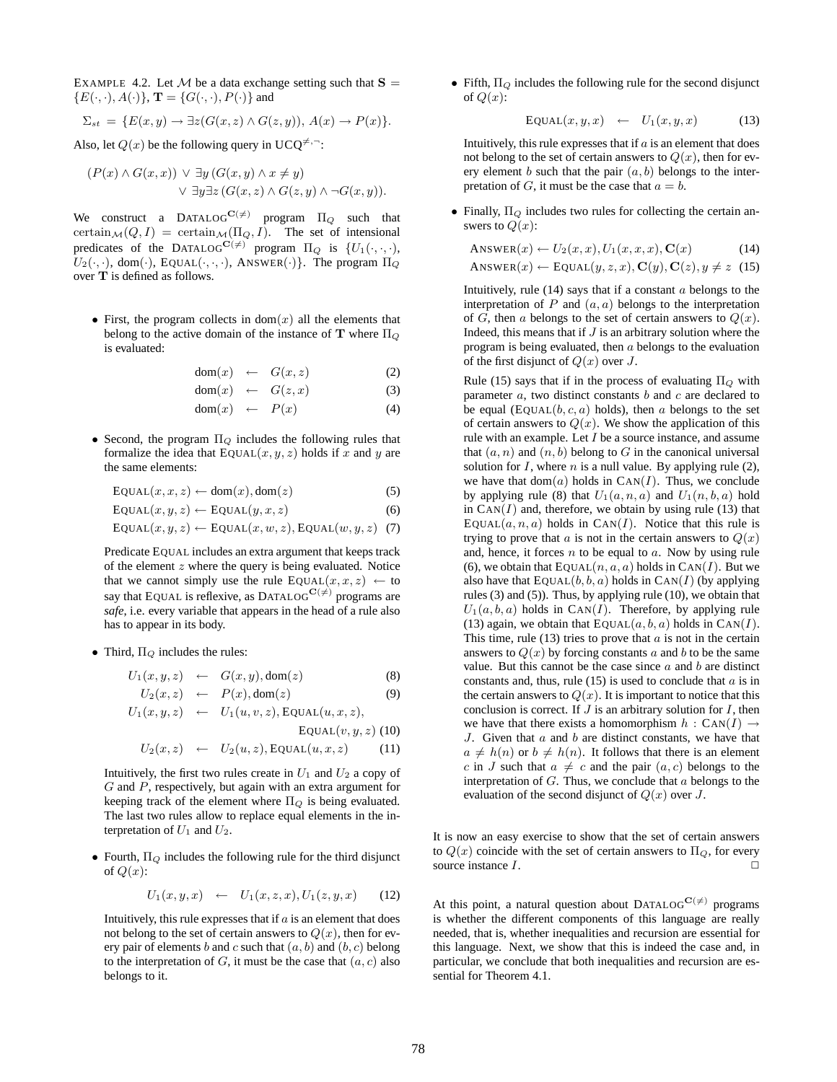EXAMPLE 4.2. Let M be a data exchange setting such that  $S =$  ${E(\cdot, \cdot), A(\cdot)}$ ,  $\mathbf{T} = {G(\cdot, \cdot), P(\cdot)}$  and

$$
\Sigma_{st} = \{ E(x, y) \to \exists z (G(x, z) \land G(z, y)), A(x) \to P(x) \}.
$$

Also, let  $Q(x)$  be the following query in UCO<sup> $\neq$ ,  $\neg$ :</sup>

$$
(P(x) \land G(x,x)) \lor \exists y (G(x,y) \land x \neq y)
$$

$$
\lor \exists y \exists z (G(x,z) \land G(z,y) \land \neg G(x,y)).
$$

We construct a DATALOG<sup>C( $\neq$ )</sup> program  $\Pi_Q$  such that certain  $\mathcal{M}(Q, I)$  = certain  $\mathcal{M}(\Pi_Q, I)$ . The set of intensional predicates of the DATALOG<sup>C( $\neq$ )</sup> program  $\Pi_Q$  is  $\{U_1(\cdot, \cdot, \cdot),\}$  $U_2(\cdot, \cdot)$ , dom $(\cdot)$ , EQUAL $(\cdot, \cdot, \cdot)$ , ANSWER $(\cdot)\}$ . The program  $\Pi_Q$ over T is defined as follows.

• First, the program collects in  $dom(x)$  all the elements that belong to the active domain of the instance of **T** where  $\Pi_Q$ is evaluated:

$$
dom(x) \leftarrow G(x, z) \tag{2}
$$

$$
dom(x) \leftarrow G(z, x) \tag{3}
$$

$$
dom(x) \leftarrow P(x) \tag{4}
$$

• Second, the program  $\Pi_{Q}$  includes the following rules that formalize the idea that  $EQUAL(x, y, z)$  holds if x and y are the same elements:

 $E\text{OUAL}(x, x, z) \leftarrow \text{dom}(x), \text{dom}(z)$  (5)

 $E\text{QUAL}(x, y, z) \leftarrow E\text{QUAL}(y, x, z)$  (6)

$$
EQUAL(x, y, z) \leftarrow EQUAL(x, w, z), EQUAL(w, y, z) \tag{7}
$$

Predicate EQUAL includes an extra argument that keeps track of the element  $z$  where the query is being evaluated. Notice that we cannot simply use the rule  $EQUAL(x, x, z) \leftarrow$  to say that EQUAL is reflexive, as DATALOG<sup>C( $\neq$ )</sup> programs are *safe*, i.e. every variable that appears in the head of a rule also has to appear in its body.

• Third,  $\Pi_{Q}$  includes the rules:

$$
U_1(x, y, z) \leftarrow G(x, y), \text{dom}(z) \tag{8}
$$

$$
U_2(x, z) \leftarrow P(x), \text{dom}(z) \tag{9}
$$
  

$$
U_1(x, y, z) \leftarrow U_1(u, v, z), \text{EQUAL}(u, x, z),
$$

$$
y, z) \qquad \text{C}_1(a, v, z), \text{EQGAL}(a, x, z),
$$
  
EOUAL $(v, y, z)$  (10)

$$
U_2(x, z) \leftarrow U_2(u, z), \text{EQUAL}(u, x, z) \quad (11)
$$

Intuitively, the first two rules create in  $U_1$  and  $U_2$  a copy of G and P, respectively, but again with an extra argument for keeping track of the element where  $\Pi_{Q}$  is being evaluated. The last two rules allow to replace equal elements in the interpretation of  $U_1$  and  $U_2$ .

• Fourth,  $\Pi_{Q}$  includes the following rule for the third disjunct of  $Q(x)$ :

$$
U_1(x, y, x) \leftarrow U_1(x, z, x), U_1(z, y, x) \quad (12)
$$

Intuitively, this rule expresses that if  $\alpha$  is an element that does not belong to the set of certain answers to  $Q(x)$ , then for every pair of elements b and c such that  $(a, b)$  and  $(b, c)$  belong to the interpretation of  $G$ , it must be the case that  $(a, c)$  also belongs to it.

• Fifth,  $\Pi_Q$  includes the following rule for the second disjunct of  $Q(x)$ :

$$
E\text{QUAL}(x, y, x) \leftarrow U_1(x, y, x) \quad (13)
$$

Intuitively, this rule expresses that if  $a$  is an element that does not belong to the set of certain answers to  $Q(x)$ , then for every element b such that the pair  $(a, b)$  belongs to the interpretation of  $G$ , it must be the case that  $a = b$ .

• Finally,  $\Pi_Q$  includes two rules for collecting the certain answers to  $Q(x)$ :

$$
\begin{aligned} \text{ANSWER}(x) &\leftarrow U_2(x, x), U_1(x, x, x), \mathbf{C}(x) \end{aligned} \tag{14}
$$
\n
$$
\text{ANSWER}(x) &\leftarrow \text{EQUAL}(y, z, x), \mathbf{C}(y), \mathbf{C}(z), y \neq z \tag{15}
$$

Intuitively, rule  $(14)$  says that if a constant  $a$  belongs to the interpretation of  $P$  and  $(a, a)$  belongs to the interpretation of G, then a belongs to the set of certain answers to  $Q(x)$ . Indeed, this means that if  $J$  is an arbitrary solution where the program is being evaluated, then a belongs to the evaluation of the first disjunct of  $Q(x)$  over J.

Rule (15) says that if in the process of evaluating  $\Pi_Q$  with parameter  $a$ , two distinct constants  $b$  and  $c$  are declared to be equal (EQUAL $(b, c, a)$  holds), then a belongs to the set of certain answers to  $Q(x)$ . We show the application of this rule with an example. Let  $I$  be a source instance, and assume that  $(a, n)$  and  $(n, b)$  belong to G in the canonical universal solution for  $I$ , where  $n$  is a null value. By applying rule (2), we have that  $dom(a)$  holds in  $CAN(I)$ . Thus, we conclude by applying rule (8) that  $U_1(a, n, a)$  and  $U_1(n, b, a)$  hold in  $\text{Can}(I)$  and, therefore, we obtain by using rule (13) that EQUAL $(a, n, a)$  holds in CAN $(I)$ . Notice that this rule is trying to prove that a is not in the certain answers to  $Q(x)$ and, hence, it forces  $n$  to be equal to  $a$ . Now by using rule (6), we obtain that  $EQUAL(n, a, a)$  holds in  $CAN(I)$ . But we also have that  $EQUAL(b, b, a)$  holds in  $CAN(I)$  (by applying rules (3) and (5)). Thus, by applying rule (10), we obtain that  $U_1(a, b, a)$  holds in CAN(I). Therefore, by applying rule (13) again, we obtain that  $\text{EQUAL}(a, b, a)$  holds in  $\text{CAN}(I)$ . This time, rule  $(13)$  tries to prove that a is not in the certain answers to  $Q(x)$  by forcing constants a and b to be the same value. But this cannot be the case since  $a$  and  $b$  are distinct constants and, thus, rule  $(15)$  is used to conclude that a is in the certain answers to  $Q(x)$ . It is important to notice that this conclusion is correct. If  $J$  is an arbitrary solution for  $I$ , then we have that there exists a homomorphism  $h : \text{CAN}(I) \rightarrow$ J. Given that  $a$  and  $b$  are distinct constants, we have that  $a \neq h(n)$  or  $b \neq h(n)$ . It follows that there is an element c in J such that  $a \neq c$  and the pair  $(a, c)$  belongs to the interpretation of  $G$ . Thus, we conclude that  $a$  belongs to the evaluation of the second disjunct of  $Q(x)$  over J.

It is now an easy exercise to show that the set of certain answers to  $Q(x)$  coincide with the set of certain answers to  $\Pi_Q$ , for every source instance  $I$ .

At this point, a natural question about DATALOG<sup>C( $\neq$ )</sup> programs is whether the different components of this language are really needed, that is, whether inequalities and recursion are essential for this language. Next, we show that this is indeed the case and, in particular, we conclude that both inequalities and recursion are essential for Theorem 4.1.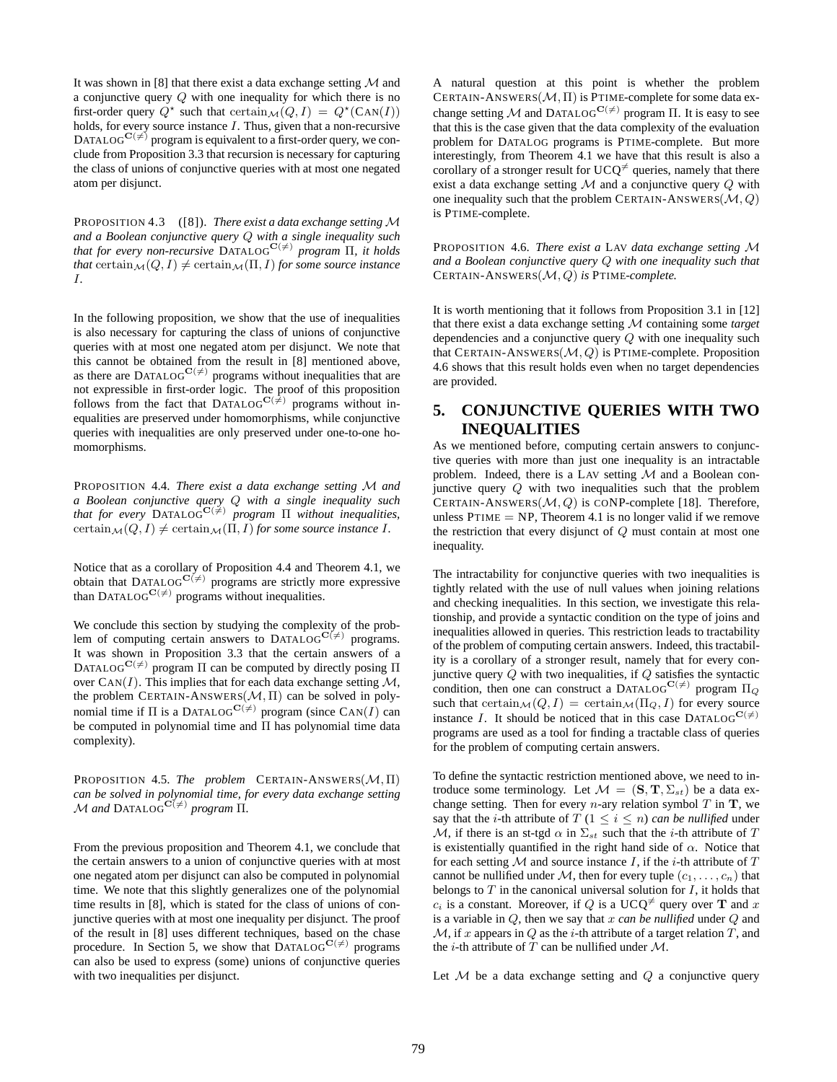It was shown in [8] that there exist a data exchange setting  $M$  and a conjunctive query Q with one inequality for which there is no first-order query  $Q^*$  such that  $\operatorname{certain}_{\mathcal{M}}(Q, I) = Q^*(\operatorname{Can}(I))$ holds, for every source instance  $I$ . Thus, given that a non-recursive DATALOG<sup>C( $\neq$ )</sup> program is equivalent to a first-order query, we conclude from Proposition 3.3 that recursion is necessary for capturing the class of unions of conjunctive queries with at most one negated atom per disjunct.

PROPOSITION 4.3 ([8]). *There exist a data exchange setting* M *and a Boolean conjunctive query* Q *with a single inequality such that for every non-recursive*  $DATALOG^{\mathbf{C}(\neq)}$  *program*  $\Pi$ *, it holds that* certain  $\mathcal{M}(Q, I) \neq \text{certain}_{\mathcal{M}}(\Pi, I)$  *for some source instance* I*.*

In the following proposition, we show that the use of inequalities is also necessary for capturing the class of unions of conjunctive queries with at most one negated atom per disjunct. We note that this cannot be obtained from the result in [8] mentioned above, as there are DATALOG<sup>C( $\neq$ )</sup> programs without inequalities that are not expressible in first-order logic. The proof of this proposition follows from the fact that  $DATALOG^{C(\neq)}$  programs without inequalities are preserved under homomorphisms, while conjunctive queries with inequalities are only preserved under one-to-one homomorphisms.

PROPOSITION 4.4. *There exist a data exchange setting* M *and a Boolean conjunctive query* Q *with a single inequality such that for every* DATALOGC(6=) *program* Π *without inequalities,* certain  $\mathcal{M}(Q, I) \neq \text{certain}_{\mathcal{M}}(\Pi, I)$  *for some source instance I*.

Notice that as a corollary of Proposition 4.4 and Theorem 4.1, we obtain that DATALOG<sup>C( $\neq$ )</sup> programs are strictly more expressive than DATALOG<sup>C( $\neq$ )</sup> programs without inequalities.

We conclude this section by studying the complexity of the problem of computing certain answers to DATALOG<sup>C( $\neq$ )</sup> programs. It was shown in Proposition 3.3 that the certain answers of a DATALOG<sup>C( $\neq$ )</sup> program Π can be computed by directly posing Π over  $\text{Can}(I)$ . This implies that for each data exchange setting  $\mathcal{M}$ , the problem CERTAIN-ANSWERS( $M$ ,  $\Pi$ ) can be solved in polynomial time if  $\Pi$  is a DATALOG<sup>C( $\neq$ )</sup> program (since CAN(I) can be computed in polynomial time and Π has polynomial time data complexity).

PROPOSITION 4.5. *The problem* CERTAIN-ANSWERS(M, Π) *can be solved in polynomial time, for every data exchange setting*  $M$  *and* DATALOG<sup>C( $\neq$ ) *program* Π*.*</sup>

From the previous proposition and Theorem 4.1, we conclude that the certain answers to a union of conjunctive queries with at most one negated atom per disjunct can also be computed in polynomial time. We note that this slightly generalizes one of the polynomial time results in [8], which is stated for the class of unions of conjunctive queries with at most one inequality per disjunct. The proof of the result in [8] uses different techniques, based on the chase procedure. In Section 5, we show that  $\text{DATALOG}^{\mathbf{C}(\neq)}$  programs can also be used to express (some) unions of conjunctive queries with two inequalities per disjunct.

A natural question at this point is whether the problem CERTAIN-ANSWERS $(M, \Pi)$  is PTIME-complete for some data exchange setting M and DATALOG<sup>C( $\neq$ )</sup> program Π. It is easy to see that this is the case given that the data complexity of the evaluation problem for DATALOG programs is PTIME-complete. But more interestingly, from Theorem 4.1 we have that this result is also a corollary of a stronger result for  $UCQ^{\neq}$  queries, namely that there exist a data exchange setting  $M$  and a conjunctive query  $Q$  with one inequality such that the problem CERTAIN-ANSWERS( $M, Q$ ) is PTIME-complete.

PROPOSITION 4.6. *There exist a* LAV *data exchange setting* M *and a Boolean conjunctive query* Q *with one inequality such that* CERTAIN-ANSWERS(M, Q) *is* PTIME*-complete.*

It is worth mentioning that it follows from Proposition 3.1 in [12] that there exist a data exchange setting M containing some *target* dependencies and a conjunctive query Q with one inequality such that CERTAIN-ANSWERS $(M, Q)$  is PTIME-complete. Proposition 4.6 shows that this result holds even when no target dependencies are provided.

### **5. CONJUNCTIVE QUERIES WITH TWO INEQUALITIES**

As we mentioned before, computing certain answers to conjunctive queries with more than just one inequality is an intractable problem. Indeed, there is a LAV setting  $M$  and a Boolean conjunctive query  $Q$  with two inequalities such that the problem CERTAIN-ANSWERS $(M, Q)$  is CONP-complete [18]. Therefore, unless  $PTIME = NP$ , Theorem 4.1 is no longer valid if we remove the restriction that every disjunct of Q must contain at most one inequality.

The intractability for conjunctive queries with two inequalities is tightly related with the use of null values when joining relations and checking inequalities. In this section, we investigate this relationship, and provide a syntactic condition on the type of joins and inequalities allowed in queries. This restriction leads to tractability of the problem of computing certain answers. Indeed, this tractability is a corollary of a stronger result, namely that for every conjunctive query  $Q$  with two inequalities, if  $Q$  satisfies the syntactic condition, then one can construct a DATALOG<sup>C( $\neq$ )</sup> program  $\Pi_{\Omega}$ such that certain $\mathcal{M}(Q, I) = \text{certain}_{\mathcal{M}}(\Pi_Q, I)$  for every source instance *I*. It should be noticed that in this case DATALOG<sup>C( $\neq$ )</sub></sup> programs are used as a tool for finding a tractable class of queries for the problem of computing certain answers.

To define the syntactic restriction mentioned above, we need to introduce some terminology. Let  $\mathcal{M} = (\mathbf{S}, \mathbf{T}, \Sigma_{st})$  be a data exchange setting. Then for every *n*-ary relation symbol  $T$  in  $T$ , we say that the *i*-th attribute of  $T (1 \le i \le n)$  *can be nullified* under M, if there is an st-tgd  $\alpha$  in  $\Sigma_{st}$  such that the *i*-th attribute of T is existentially quantified in the right hand side of  $\alpha$ . Notice that for each setting  $M$  and source instance I, if the *i*-th attribute of  $T$ cannot be nullified under M, then for every tuple  $(c_1, \ldots, c_n)$  that belongs to  $T$  in the canonical universal solution for  $I$ , it holds that  $c_i$  is a constant. Moreover, if Q is a UCQ<sup> $\neq$ </sup> query over **T** and x is a variable in Q, then we say that x *can be nullified* under Q and  $M$ , if x appears in Q as the *i*-th attribute of a target relation T, and the *i*-th attribute of  $T$  can be nullified under  $M$ .

Let  $M$  be a data exchange setting and  $Q$  a conjunctive query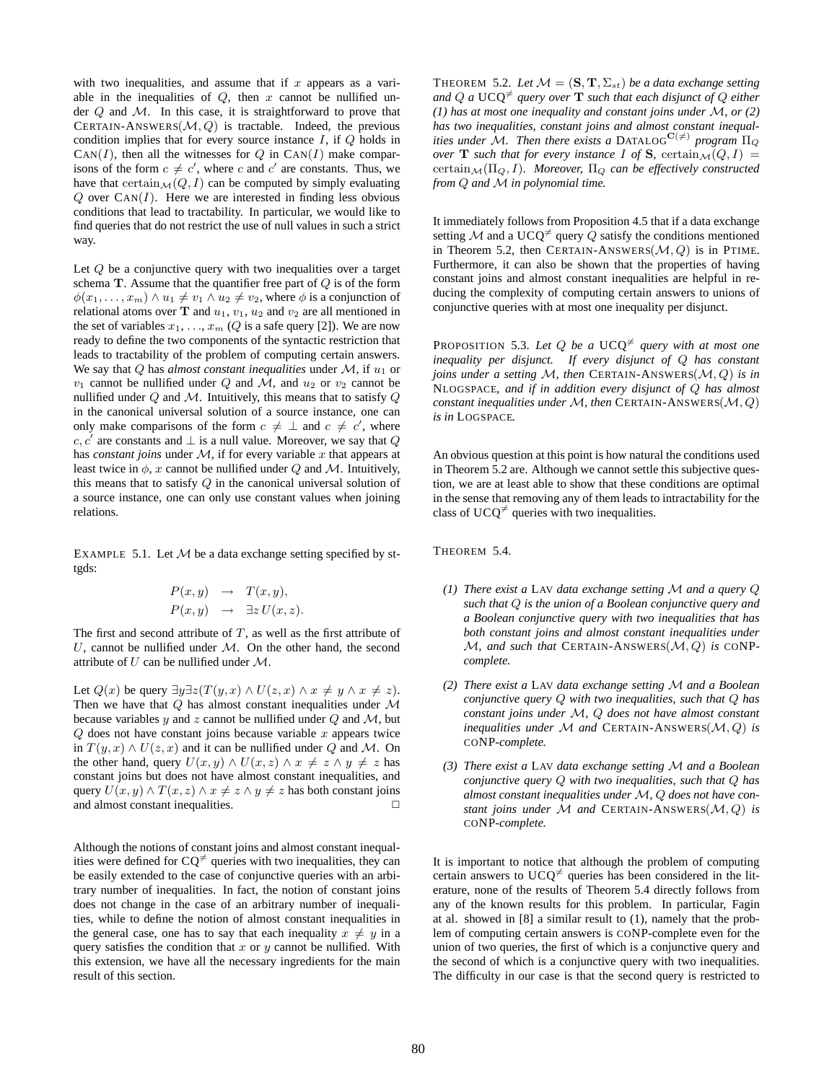with two inequalities, and assume that if  $x$  appears as a variable in the inequalities of  $Q$ , then  $x$  cannot be nullified under  $Q$  and  $M$ . In this case, it is straightforward to prove that CERTAIN-ANSWERS $(M, Q)$  is tractable. Indeed, the previous condition implies that for every source instance  $I$ , if  $Q$  holds in  $CAN(I)$ , then all the witnesses for Q in  $CAN(I)$  make comparisons of the form  $c \neq c'$ , where c and c' are constants. Thus, we have that certain $\mathcal{M}(Q, I)$  can be computed by simply evaluating  $Q$  over  $\text{Can}(I)$ . Here we are interested in finding less obvious conditions that lead to tractability. In particular, we would like to find queries that do not restrict the use of null values in such a strict way.

Let  $Q$  be a conjunctive query with two inequalities over a target schema  $T$ . Assume that the quantifier free part of  $Q$  is of the form  $\phi(x_1, \ldots, x_m) \wedge u_1 \neq v_1 \wedge u_2 \neq v_2$ , where  $\phi$  is a conjunction of relational atoms over T and  $u_1$ ,  $v_1$ ,  $u_2$  and  $v_2$  are all mentioned in the set of variables  $x_1, \ldots, x_m$  (Q is a safe query [2]). We are now ready to define the two components of the syntactic restriction that leads to tractability of the problem of computing certain answers. We say that  $Q$  has *almost constant inequalities* under  $M$ , if  $u_1$  or  $v_1$  cannot be nullified under Q and M, and  $u_2$  or  $v_2$  cannot be nullified under  $Q$  and  $M$ . Intuitively, this means that to satisfy  $Q$ in the canonical universal solution of a source instance, one can only make comparisons of the form  $c \neq \perp$  and  $c \neq c'$ , where c, c' are constants and  $\perp$  is a null value. Moreover, we say that Q has *constant joins* under  $M$ , if for every variable  $x$  that appears at least twice in  $\phi$ , x cannot be nullified under Q and M. Intuitively, this means that to satisfy Q in the canonical universal solution of a source instance, one can only use constant values when joining relations.

EXAMPLE 5.1. Let  $M$  be a data exchange setting specified by sttgds:

$$
P(x, y) \rightarrow T(x, y),
$$
  

$$
P(x, y) \rightarrow \exists z \, U(x, z).
$$

The first and second attribute of  $T$ , as well as the first attribute of  $U$ , cannot be nullified under  $M$ . On the other hand, the second attribute of  $U$  can be nullified under  $\mathcal{M}$ .

Let  $Q(x)$  be query  $\exists y \exists z (T(y,x) \land U(z,x) \land x \neq y \land x \neq z)$ . Then we have that  $Q$  has almost constant inequalities under  $M$ because variables  $y$  and  $z$  cannot be nullified under  $Q$  and  $M$ , but  $Q$  does not have constant joins because variable  $x$  appears twice in  $T(y, x) \wedge U(z, x)$  and it can be nullified under Q and M. On the other hand, query  $U(x, y) \wedge U(x, z) \wedge x \neq z \wedge y \neq z$  has constant joins but does not have almost constant inequalities, and query  $U(x, y) \wedge T(x, z) \wedge x \neq z \wedge y \neq z$  has both constant joins and almost constant inequalities.  $\Box$ 

Although the notions of constant joins and almost constant inequalities were defined for  $CQ^{\neq}$  queries with two inequalities, they can be easily extended to the case of conjunctive queries with an arbitrary number of inequalities. In fact, the notion of constant joins does not change in the case of an arbitrary number of inequalities, while to define the notion of almost constant inequalities in the general case, one has to say that each inequality  $x \neq y$  in a query satisfies the condition that  $x$  or  $y$  cannot be nullified. With this extension, we have all the necessary ingredients for the main result of this section.

THEOREM 5.2. *Let*  $M = (\mathbf{S}, \mathbf{T}, \Sigma_{st})$  *be a data exchange setting and*  $Q$  *a*  $UCQ^{\neq}$  *query over* **T** *such that each disjunct of*  $Q$  *either (1) has at most one inequality and constant joins under* M*, or (2) has two inequalities, constant joins and almost constant inequalities under* M. Then there exists a DATALOG<sup>C( $\neq$ ) program  $\Pi_{\mathcal{O}}$ </sup> *over* **T** such that for every instance I of **S**, certain $\mathcal{M}(Q, I) =$ certain<sub>M</sub>( $\Pi$ <sub>O</sub>, I)*.* Moreover,  $\Pi$ <sub>O</sub> can be effectively constructed *from* Q *and* M *in polynomial time.*

It immediately follows from Proposition 4.5 that if a data exchange setting M and a UCQ<sup> $\neq$ </sup> query Q satisfy the conditions mentioned in Theorem 5.2, then CERTAIN-ANSWERS $(M, Q)$  is in PTIME. Furthermore, it can also be shown that the properties of having constant joins and almost constant inequalities are helpful in reducing the complexity of computing certain answers to unions of conjunctive queries with at most one inequality per disjunct.

PROPOSITION 5.3. Let  $Q$  be a UCQ<sup> $\neq$ </sup> query with at most one *inequality per disjunct. If every disjunct of* Q *has constant joins under a setting* M*, then* CERTAIN-ANSWERS(M, Q) *is in* NLOGSPACE*, and if in addition every disjunct of* Q *has almost constant inequalities under M, then* CERTAIN-ANSWERS(*M, Q*) *is in* LOGSPACE*.*

An obvious question at this point is how natural the conditions used in Theorem 5.2 are. Although we cannot settle this subjective question, we are at least able to show that these conditions are optimal in the sense that removing any of them leads to intractability for the class of UCQ<sup> $\neq$ </sup> queries with two inequalities.

THEOREM 5.4.

- *(1) There exist a* LAV *data exchange setting* M *and a query* Q *such that* Q *is the union of a Boolean conjunctive query and a Boolean conjunctive query with two inequalities that has both constant joins and almost constant inequalities under*  $M$ , and such that CERTAIN-ANSWERS( $M$ ,  $Q$ ) is CONP*complete.*
- *(2) There exist a* LAV *data exchange setting* M *and a Boolean conjunctive query* Q *with two inequalities, such that* Q *has constant joins under* M*,* Q *does not have almost constant inequalities under* M *and* CERTAIN-ANSWERS(M, Q) *is* CONP*-complete.*
- *(3) There exist a* LAV *data exchange setting* M *and a Boolean conjunctive query* Q *with two inequalities, such that* Q *has almost constant inequalities under* M*,* Q *does not have constant joins under* M *and* CERTAIN-ANSWERS(M, Q) *is* CONP*-complete.*

It is important to notice that although the problem of computing certain answers to  $UCQ^{\neq}$  queries has been considered in the literature, none of the results of Theorem 5.4 directly follows from any of the known results for this problem. In particular, Fagin at al. showed in [8] a similar result to (1), namely that the problem of computing certain answers is CONP-complete even for the union of two queries, the first of which is a conjunctive query and the second of which is a conjunctive query with two inequalities. The difficulty in our case is that the second query is restricted to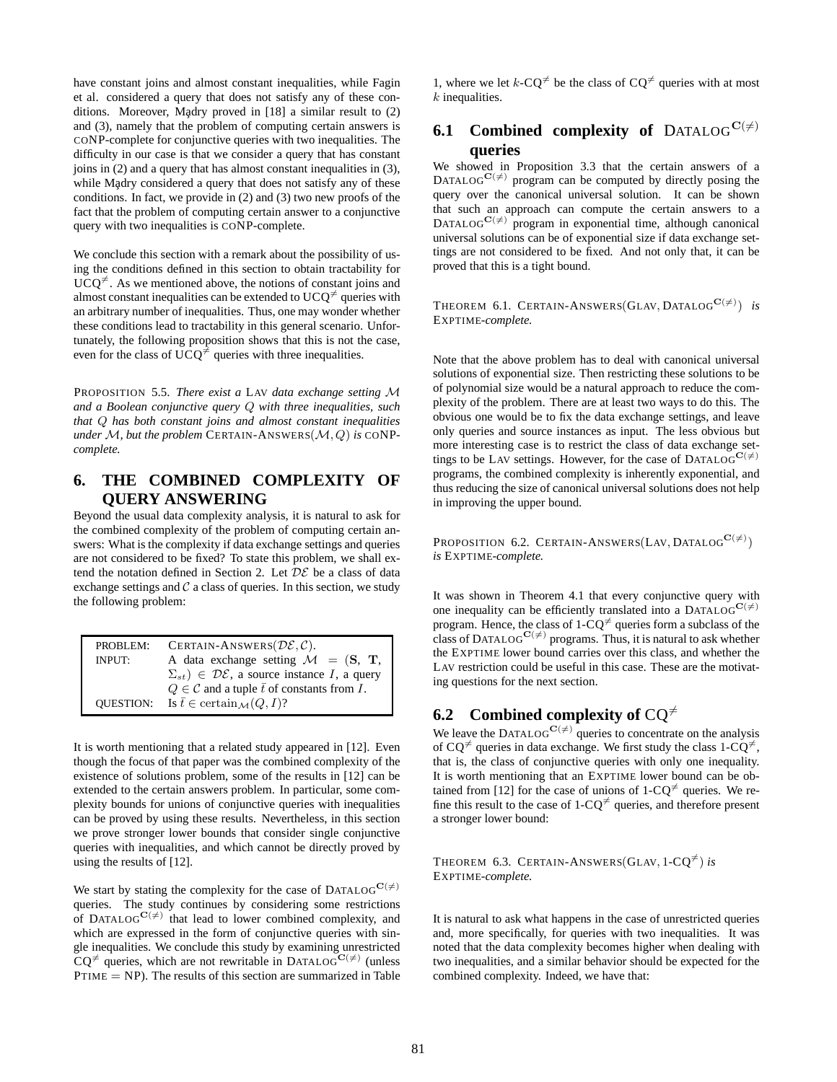have constant joins and almost constant inequalities, while Fagin et al. considered a query that does not satisfy any of these conditions. Moreover, Madry proved in  $[18]$  a similar result to  $(2)$ and (3), namely that the problem of computing certain answers is CONP-complete for conjunctive queries with two inequalities. The difficulty in our case is that we consider a query that has constant joins in (2) and a query that has almost constant inequalities in (3), while Ma<sub>dry</sub> considered a query that does not satisfy any of these conditions. In fact, we provide in (2) and (3) two new proofs of the fact that the problem of computing certain answer to a conjunctive query with two inequalities is CONP-complete.

We conclude this section with a remark about the possibility of using the conditions defined in this section to obtain tractability for  $UCQ^{\neq}$ . As we mentioned above, the notions of constant joins and almost constant inequalities can be extended to  $UCQ^{\neq}$  queries with an arbitrary number of inequalities. Thus, one may wonder whether these conditions lead to tractability in this general scenario. Unfortunately, the following proposition shows that this is not the case, even for the class of UCQ<sup> $\neq$ </sup> queries with three inequalities.

PROPOSITION 5.5. *There exist a* LAV *data exchange setting* M *and a Boolean conjunctive query* Q *with three inequalities, such that* Q *has both constant joins and almost constant inequalities under*  $M$ , *but the problem* CERTAIN-ANSWERS( $M$ ,  $Q$ ) *is* CONP*complete.*

### **6. THE COMBINED COMPLEXITY OF QUERY ANSWERING**

Beyond the usual data complexity analysis, it is natural to ask for the combined complexity of the problem of computing certain answers: What is the complexity if data exchange settings and queries are not considered to be fixed? To state this problem, we shall extend the notation defined in Section 2. Let  $\mathcal{DE}$  be a class of data exchange settings and  $C$  a class of queries. In this section, we study the following problem:

| PROBLEM:      | CERTAIN-ANSWERS $(\mathcal{DE}, \mathcal{C})$ .                    |  |  |
|---------------|--------------------------------------------------------------------|--|--|
| <b>INPUT:</b> | A data exchange setting $\mathcal{M} = (\mathbf{S}, \mathbf{T})$ , |  |  |
|               | $(\Sigma_{st}) \in \mathcal{DE}$ , a source instance I, a query    |  |  |
|               | $Q \in \mathcal{C}$ and a tuple $\bar{t}$ of constants from $I$ .  |  |  |
|               | QUESTION: Is $\bar{t} \in \text{certain}_{\mathcal{M}}(Q, I)$ ?    |  |  |

It is worth mentioning that a related study appeared in [12]. Even though the focus of that paper was the combined complexity of the existence of solutions problem, some of the results in [12] can be extended to the certain answers problem. In particular, some complexity bounds for unions of conjunctive queries with inequalities can be proved by using these results. Nevertheless, in this section we prove stronger lower bounds that consider single conjunctive queries with inequalities, and which cannot be directly proved by using the results of [12].

We start by stating the complexity for the case of DATALOG<sup>C( $\neq$ )</sup> queries. The study continues by considering some restrictions of DATALOG $C^{(\neq)}$  that lead to lower combined complexity, and which are expressed in the form of conjunctive queries with single inequalities. We conclude this study by examining unrestricted  $CQ^{\neq}$  queries, which are not rewritable in DATALOGC( $\neq$ ) (unless  $PTIME = NP$ ). The results of this section are summarized in Table

1, where we let  $k$ -CQ<sup> $\neq$ </sup> be the class of CQ<sup> $\neq$ </sup> queries with at most  $k$  inequalities.

### **6.1 Combined complexity of** DATALOG<sup>C( $\neq$ )</sup> **queries**

We showed in Proposition 3.3 that the certain answers of a DATALOG<sup>C( $\neq$ )</sup> program can be computed by directly posing the query over the canonical universal solution. It can be shown that such an approach can compute the certain answers to a  $DATALOG^{C(\neq)}$  program in exponential time, although canonical universal solutions can be of exponential size if data exchange settings are not considered to be fixed. And not only that, it can be proved that this is a tight bound.

THEOREM 6.1. CERTAIN-ANSWERS(GLAV, DATALOG<sup>C( $\neq$ )) *is*</sup> EXPTIME*-complete.*

Note that the above problem has to deal with canonical universal solutions of exponential size. Then restricting these solutions to be of polynomial size would be a natural approach to reduce the complexity of the problem. There are at least two ways to do this. The obvious one would be to fix the data exchange settings, and leave only queries and source instances as input. The less obvious but more interesting case is to restrict the class of data exchange settings to be LAV settings. However, for the case of DATALOG<sup>C( $\neq$ )</sup> programs, the combined complexity is inherently exponential, and thus reducing the size of canonical universal solutions does not help in improving the upper bound.

PROPOSITION 6.2. CERTAIN-ANSWERS(LAV, DATALOG<sup>C( $\neq$ )</sup>) *is* EXPTIME*-complete.*

It was shown in Theorem 4.1 that every conjunctive query with one inequality can be efficiently translated into a DATALOG<sup>C( $\neq$ )</sup> program. Hence, the class of  $1-CQ^{\neq}$  queries form a subclass of the class of DATALOG<sup>C( $\neq$ )</sup> programs. Thus, it is natural to ask whether the EXPTIME lower bound carries over this class, and whether the LAV restriction could be useful in this case. These are the motivating questions for the next section.

### **6.2** Combined complexity of  $CQ^{\neq}$

We leave the DATALOG<sup>C( $\neq$ )</sup> queries to concentrate on the analysis of  $CO^{\neq}$  queries in data exchange. We first study the class  $1-CO^{\neq}$ , that is, the class of conjunctive queries with only one inequality. It is worth mentioning that an EXPTIME lower bound can be obtained from [12] for the case of unions of  $1-CQ^{\neq}$  queries. We refine this result to the case of 1-CO $\neq$  queries, and therefore present a stronger lower bound:

THEOREM 6.3. CERTAIN-ANSWERS(GLAV,  $1-CQ^{\neq}$ ) *is* EXPTIME*-complete.*

It is natural to ask what happens in the case of unrestricted queries and, more specifically, for queries with two inequalities. It was noted that the data complexity becomes higher when dealing with two inequalities, and a similar behavior should be expected for the combined complexity. Indeed, we have that: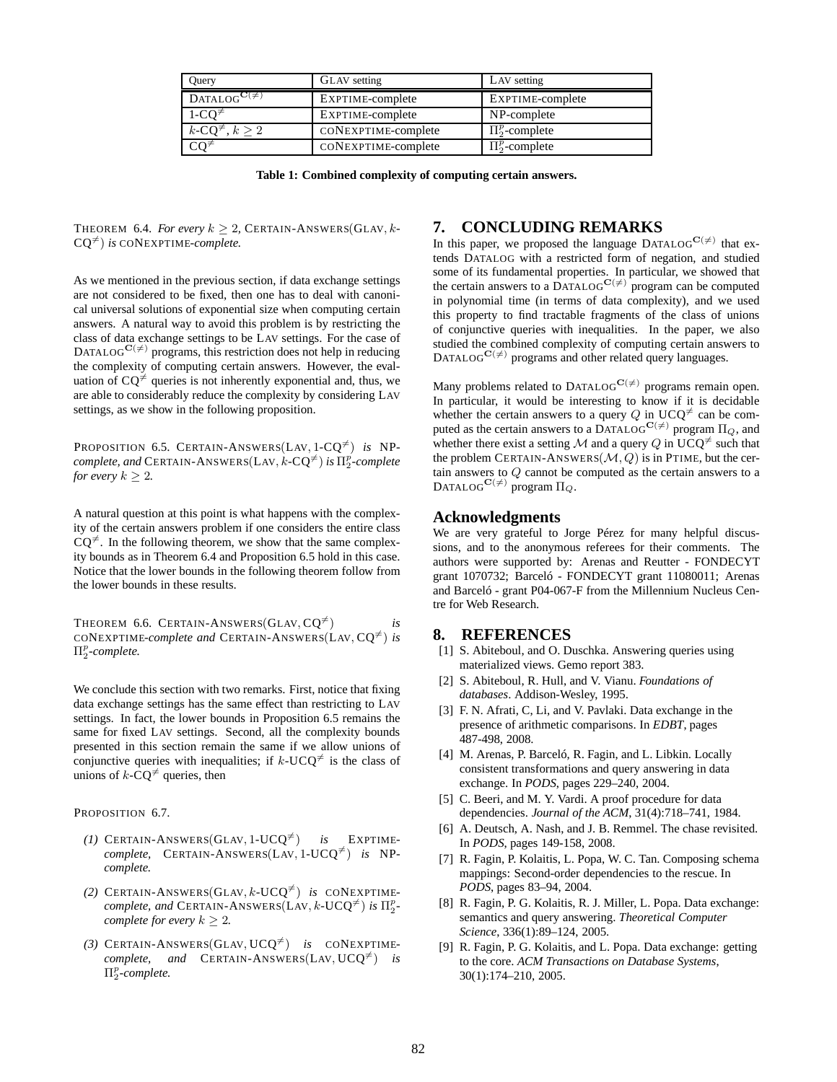| Ouery                                          | <b>GLAV</b> setting | LAV setting         |
|------------------------------------------------|---------------------|---------------------|
| $DATALOG^{\mathbf{C}(\neq)}$                   | EXPTIME-complete    | EXPTIME-complete    |
| $1-CQ^{\neq}$                                  | EXPTIME-complete    | NP-complete         |
| $k$ -CQ <sup><math>\neq</math></sup> , $k > 2$ | CONEXPTIME-complete | $\Pi_2^p$ -complete |
| ∗∩*                                            | CONEXPTIME-complete | $\Pi_2^p$ -complete |

**Table 1: Combined complexity of computing certain answers.**

THEOREM 6.4. *For every*  $k > 2$ , CERTAIN-ANSWERS(GLAV, k- $CO<sup>\neq</sup>$ *) is* CONEXPTIME-*complete.* 

As we mentioned in the previous section, if data exchange settings are not considered to be fixed, then one has to deal with canonical universal solutions of exponential size when computing certain answers. A natural way to avoid this problem is by restricting the class of data exchange settings to be LAV settings. For the case of DATALOG<sup>C( $\neq$ )</sup> programs, this restriction does not help in reducing the complexity of computing certain answers. However, the evaluation of  $CQ^{\neq}$  queries is not inherently exponential and, thus, we are able to considerably reduce the complexity by considering LAV settings, as we show in the following proposition.

PROPOSITION 6.5. CERTAIN-ANSWERS(LAV,  $1-CQ^{\neq}$ ) *is* NP- $\mathit{complete}, \mathit{and} \ \text{CERTAIN-ANSWERS}(\text{LAV}, k\text{-}\text{CQ}^{\neq}) \ \textit{is} \ \Pi^p_2\text{-}complete$ *for every*  $k > 2$ *.* 

A natural question at this point is what happens with the complexity of the certain answers problem if one considers the entire class  $CQ^{\neq}$ . In the following theorem, we show that the same complexity bounds as in Theorem 6.4 and Proposition 6.5 hold in this case. Notice that the lower bounds in the following theorem follow from the lower bounds in these results.

THEOREM 6.6. CERTAIN-ANSWERS(GLAV,  $CQ^{\neq}$ ) *is* CONEXPTIME-*complete and* CERTAIN-ANSWERS(LAV,  $CQ^{\neq}$ ) *is*  $\Pi_2^p$ -complete.

We conclude this section with two remarks. First, notice that fixing data exchange settings has the same effect than restricting to LAV settings. In fact, the lower bounds in Proposition 6.5 remains the same for fixed LAV settings. Second, all the complexity bounds presented in this section remain the same if we allow unions of conjunctive queries with inequalities; if k-UCQ<sup> $\neq$ </sup> is the class of unions of  $k$ -CQ<sup> $\neq$ </sup> queries, then

PROPOSITION 6.7.

- $(1)$  CERTAIN-ANSWERS(GLAV, 1-UCQ<sup> $\neq$ </sup>) *is* EXPTIME*complete,* CERTAIN-ANSWERS(LAV,  $1$ -UCQ<sup> $\neq$ </sup>) *is* NP*complete.*
- (2) CERTAIN-ANSWERS(GLAV, k-UCO<sup> $\neq$ </sup>) *is* CONEXPTIME*complete, and* CERTAIN-ANSWERS(LAV,  $k$ -UCQ<sup> $\neq$ </sup>) *is*  $\Pi_2^p$ *complete for every*  $k \geq 2$ *.*
- (3) CERTAIN-ANSWERS(GLAV,  $UCQ^{\neq}$ ) *is* CONEXPTIME*complete, and* CERTAIN-ANSWERS(LAV,  $UCQ^{\neq}$ ) *is* Π p 2 *-complete.*

#### **7. CONCLUDING REMARKS**

In this paper, we proposed the language DATALOG<sup>C( $\neq$ )</sup> that extends DATALOG with a restricted form of negation, and studied some of its fundamental properties. In particular, we showed that the certain answers to a DATALOG<sup>C( $\neq$ )</sup> program can be computed in polynomial time (in terms of data complexity), and we used this property to find tractable fragments of the class of unions of conjunctive queries with inequalities. In the paper, we also studied the combined complexity of computing certain answers to DATALOG<sup>C( $\neq$ )</sup> programs and other related query languages.

Many problems related to DATALOG<sup>C( $\neq$ )</sup> programs remain open. In particular, it would be interesting to know if it is decidable whether the certain answers to a query Q in  $UCQ^{\neq}$  can be computed as the certain answers to a DATALOG<sup>C( $\neq$ )</sup> program  $\Pi_Q$ , and whether there exist a setting M and a query Q in UCQ<sup> $\neq$ </sup> such that the problem CERTAIN-ANSWERS $(M, Q)$  is in PTIME, but the certain answers to Q cannot be computed as the certain answers to a DATALOG<sup>C( $\neq$ )</sup> program  $\Pi_{\mathcal{Q}}$ .

#### **Acknowledgments**

We are very grateful to Jorge Pérez for many helpful discussions, and to the anonymous referees for their comments. The authors were supported by: Arenas and Reutter - FONDECYT grant 1070732; Barceló - FONDECYT grant 11080011; Arenas and Barceló - grant P04-067-F from the Millennium Nucleus Centre for Web Research.

#### **8. REFERENCES**

- [1] S. Abiteboul, and O. Duschka. Answering queries using materialized views. Gemo report 383.
- [2] S. Abiteboul, R. Hull, and V. Vianu. *Foundations of databases*. Addison-Wesley, 1995.
- [3] F. N. Afrati, C, Li, and V. Pavlaki. Data exchange in the presence of arithmetic comparisons. In *EDBT*, pages 487-498, 2008.
- [4] M. Arenas, P. Barceló, R. Fagin, and L. Libkin. Locally consistent transformations and query answering in data exchange. In *PODS*, pages 229–240, 2004.
- [5] C. Beeri, and M. Y. Vardi. A proof procedure for data dependencies. *Journal of the ACM*, 31(4):718–741, 1984.
- [6] A. Deutsch, A. Nash, and J. B. Remmel. The chase revisited. In *PODS*, pages 149-158, 2008.
- [7] R. Fagin, P. Kolaitis, L. Popa, W. C. Tan. Composing schema mappings: Second-order dependencies to the rescue. In *PODS*, pages 83–94, 2004.
- [8] R. Fagin, P. G. Kolaitis, R. J. Miller, L. Popa. Data exchange: semantics and query answering. *Theoretical Computer Science*, 336(1):89–124, 2005.
- [9] R. Fagin, P. G. Kolaitis, and L. Popa. Data exchange: getting to the core. *ACM Transactions on Database Systems*, 30(1):174–210, 2005.